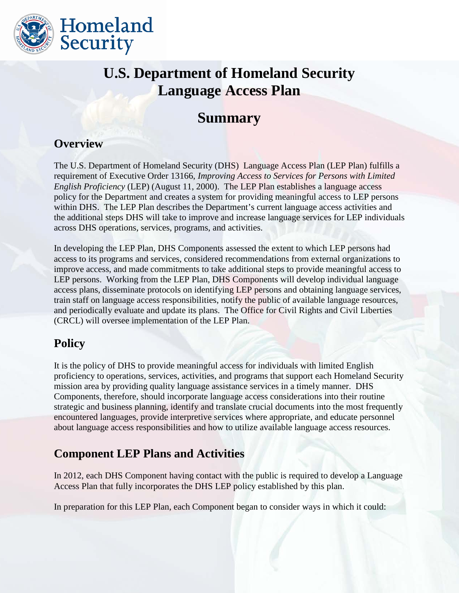

# **U.S. Department of Homeland Security Language Access Plan**

# **Summary**

#### **Overview**

The U.S. Department of Homeland Security (DHS) Language Access Plan (LEP Plan) fulfills a requirement of Executive Order 13166, *Improving Access to Services for Persons with Limited English Proficiency* (LEP) (August 11, 2000). The LEP Plan establishes a language access policy for the Department and creates a system for providing meaningful access to LEP persons within DHS. The LEP Plan describes the Department's current language access activities and the additional steps DHS will take to improve and increase language services for LEP individuals across DHS operations, services, programs, and activities.

In developing the LEP Plan, DHS Components assessed the extent to which LEP persons had access to its programs and services, considered recommendations from external organizations to improve access, and made commitments to take additional steps to provide meaningful access to LEP persons. Working from the LEP Plan, DHS Components will develop individual language access plans, disseminate protocols on identifying LEP persons and obtaining language services, train staff on language access responsibilities, notify the public of available language resources, and periodically evaluate and update its plans. The Office for Civil Rights and Civil Liberties (CRCL) will oversee implementation of the LEP Plan.

#### **Policy**

It is the policy of DHS to provide meaningful access for individuals with limited English proficiency to operations, services, activities, and programs that support each Homeland Security mission area by providing quality language assistance services in a timely manner. DHS Components, therefore, should incorporate language access considerations into their routine strategic and business planning, identify and translate crucial documents into the most frequently encountered languages, provide interpretive services where appropriate, and educate personnel about language access responsibilities and how to utilize available language access resources.

## **Component LEP Plans and Activities**

In 2012, each DHS Component having contact with the public is required to develop a Language Access Plan that fully incorporates the DHS LEP policy established by this plan.

In preparation for this LEP Plan, each Component began to consider ways in which it could: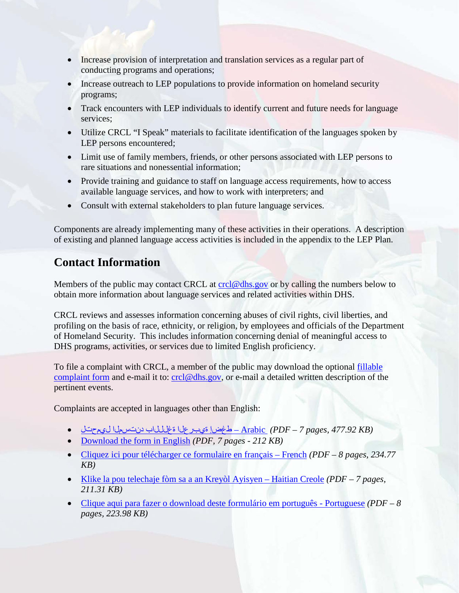- Increase provision of interpretation and translation services as a regular part of conducting programs and operations;
- Increase outreach to LEP populations to provide information on homeland security programs;
- Track encounters with LEP individuals to identify current and future needs for language services;
- Utilize CRCL "I Speak" materials to facilitate identification of the languages spoken by LEP persons encountered;
- Limit use of family members, friends, or other persons associated with LEP persons to rare situations and nonessential information;
- Provide training and guidance to staff on language access requirements, how to access available language services, and how to work with interpreters; and
- Consult with external stakeholders to plan future language services.

Components are already implementing many of these activities in their operations. A description of existing and planned language access activities is included in the appendix to the LEP Plan.

## **Contact Information**

Members of the public may contact CRCL at [crcl@dhs.gov](mailto:crcl@dhs.gov) or by calling the numbers below to obtain more information about language services and related activities within DHS.

CRCL reviews and assesses information concerning abuses of civil rights, civil liberties, and profiling on the basis of race, ethnicity, or religion, by employees and officials of the Department of Homeland Security. This includes information concerning denial of meaningful access to DHS programs, activities, or services due to limited English proficiency.

To file a complaint with CRCL, a member of the public may download the optional [fillable](http://www.dhs.gov/xabout/structure/gc_1273526572731.shtm)  [complaint form](http://www.dhs.gov/xabout/structure/gc_1273526572731.shtm) and e-mail it to: [crcl@dhs.gov,](mailto:crcl@dhs.gov) or e-mail a detailed written description of the pertinent events.

Complaints are accepted in languages other than English:

- *(KB 477.92 ,pages 7 PDF (*[Arabic](http://www.dhs.gov/xlibrary/assets/crcl/crcl-complaint-form-arabic.pdf) طغضإ ةيبرعلا ةغلللاب دنتسملا ليمحتل •
- [Download the form in English](http://www.dhs.gov/xlibrary/assets/crcl-complaint-submission-form-english.pdf) *(PDF, 7 pages 212 KB)*
- [Cliquez ici pour télécharger ce formulaire en français French](http://www.dhs.gov/xlibrary/assets/crcl-complaint-form-french.pdf) *(PDF 8 pages, 234.77 KB)*
- [Klike la pou telechaje fòm sa a an Kreyòl Ayisyen Haitian Creole](http://www.dhs.gov/xlibrary/assets/crcl-complaint-form-haitian-creole.pdf) *(PDF 7 pages, 211.31 KB)*
- [Clique aqui para fazer o download deste formulário em português Portuguese](http://www.dhs.gov/xlibrary/assets/crcl-complaint-form-portuguese.pdf) *(PDF 8 pages, 223.98 KB)*